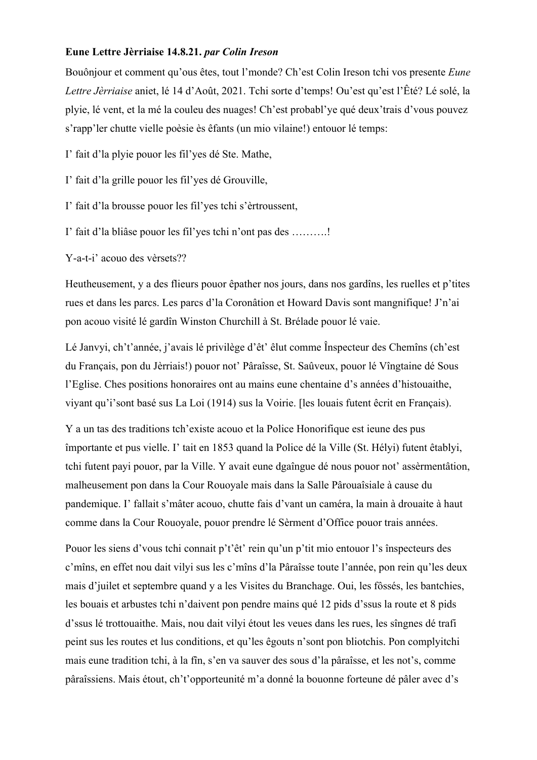## **Eune Lettre Jèrriaise 14.8.21.** *par Colin Ireson*

Bouônjour et comment qu'ous êtes, tout l'monde? Ch'est Colin Ireson tchi vos presente *Eune Lettre Jèrriaise* aniet, lé 14 d'Août, 2021. Tchi sorte d'temps! Ou'est qu'est l'Êté? Lé solé, la plyie, lé vent, et la mé la couleu des nuages! Ch'est probabl'ye qué deux'trais d'vous pouvez s'rapp'ler chutte vielle poèsie ès êfants (un mio vilaine!) entouor lé temps:

I' fait d'la plyie pouor les fil'yes dé Ste. Mathe,

I' fait d'la grille pouor les fil'yes dé Grouville,

I' fait d'la brousse pouor les fil'yes tchi s'èrtroussent,

I' fait d'la bliâse pouor les fil'yes tchi n'ont pas des ……….!

Y-a-t-i' acouo des vèrsets??

Heutheusement, y a des flieurs pouor êpather nos jours, dans nos gardîns, les ruelles et p'tites rues et dans les parcs. Les parcs d'la Coronâtion et Howard Davis sont mangnifique! J'n'ai pon acouo visité lé gardîn Winston Churchill à St. Brélade pouor lé vaie.

Lé Janvyi, ch't'année, j'avais lé privilège d'êt' êlut comme Înspecteur des Chemîns (ch'est du Français, pon du Jèrriais!) pouor not' Pâraîsse, St. Saûveux, pouor lé Vîngtaine dé Sous l'Eglise. Ches positions honoraires ont au mains eune chentaine d's années d'histouaithe, viyant qu'i'sont basé sus La Loi (1914) sus la Voirie. [les louais futent êcrit en Français).

Y a un tas des traditions tch'existe acouo et la Police Honorifique est ieune des pus împortante et pus vielle. I' tait en 1853 quand la Police dé la Ville (St. Hélyi) futent êtablyi, tchi futent payi pouor, par la Ville. Y avait eune dgaîngue dé nous pouor not' assèrmentâtion, malheusement pon dans la Cour Rouoyale mais dans la Salle Pârouaîsiale à cause du pandemique. I' fallait s'mâter acouo, chutte fais d'vant un caméra, la main à drouaite à haut comme dans la Cour Rouoyale, pouor prendre lé Sèrment d'Office pouor trais années.

Pouor les siens d'vous tchi connait p't'êt' rein qu'un p'tit mio entouor l's înspecteurs des c'mîns, en effet nou dait vilyi sus les c'mîns d'la Pâraîsse toute l'année, pon rein qu'les deux mais d'juilet et septembre quand y a les Visites du Branchage. Oui, les fôssés, les bantchies, les bouais et arbustes tchi n'daivent pon pendre mains qué 12 pids d'ssus la route et 8 pids d'ssus lé trottouaithe. Mais, nou dait vilyi étout les veues dans les rues, les sîngnes dé trafi peint sus les routes et lus conditions, et qu'les êgouts n'sont pon bliotchis. Pon complyitchi mais eune tradition tchi, à la fîn, s'en va sauver des sous d'la pâraîsse, et les not's, comme pâraîssiens. Mais étout, ch't'opporteunité m'a donné la bouonne forteune dé pâler avec d's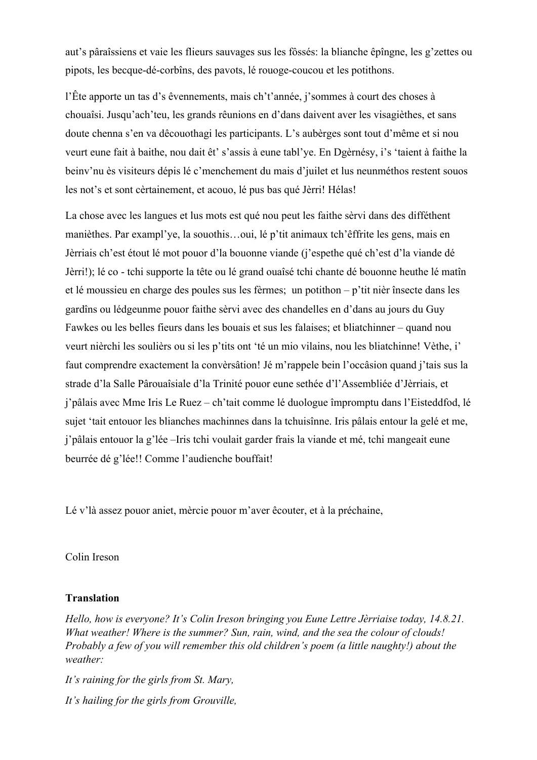aut's pâraîssiens et vaie les flieurs sauvages sus les fôssés: la blianche êpîngne, les g'zettes ou pipots, les becque-dé-corbîns, des pavots, lé rouoge-coucou et les potithons.

l'Ête apporte un tas d's êvennements, mais ch't'année, j'sommes à court des choses à chouaîsi. Jusqu'ach'teu, les grands rêunions en d'dans daivent aver les visagièthes, et sans doute chenna s'en va dêcouothagi les participants. L's aubèrges sont tout d'même et si nou veurt eune fait à baithe, nou dait êt' s'assis à eune tabl'ye. En Dgèrnésy, i's 'taient à faithe la beinv'nu ès visiteurs dépis lé c'menchement du mais d'juilet et lus neunméthos restent souos les not's et sont cèrtainement, et acouo, lé pus bas qué Jèrri! Hélas!

La chose avec les langues et lus mots est qué nou peut les faithe sèrvi dans des difféthent manièthes. Par exampl'ye, la souothis…oui, lé p'tit animaux tch'êffrite les gens, mais en Jèrriais ch'est étout lé mot pouor d'la bouonne viande (j'espethe qué ch'est d'la viande dé Jèrri!); lé co - tchi supporte la tête ou lé grand ouaîsé tchi chante dé bouonne heuthe lé matîn et lé moussieu en charge des poules sus les fèrmes; un potithon – p'tit nièr însecte dans les gardîns ou lédgeunme pouor faithe sèrvi avec des chandelles en d'dans au jours du Guy Fawkes ou les belles fieurs dans les bouais et sus les falaises; et bliatchinner – quand nou veurt nièrchi les soulièrs ou si les p'tits ont 'té un mio vilains, nou les bliatchinne! Vèthe, i' faut comprendre exactement la convèrsâtion! Jé m'rappele bein l'occâsion quand j'tais sus la strade d'la Salle Pârouaîsiale d'la Trinité pouor eune sethée d'l'Assembliée d'Jèrriais, et j'pâlais avec Mme Iris Le Ruez – ch'tait comme lé duologue împromptu dans l'Eisteddfod, lé sujet 'tait entouor les blianches machinnes dans la tchuisînne. Iris pâlais entour la gelé et me, j'pâlais entouor la g'lée –Iris tchi voulait garder frais la viande et mé, tchi mangeait eune beurrée dé g'lée!! Comme l'audienche bouffait!

Lé v'là assez pouor aniet, mèrcie pouor m'aver êcouter, et à la préchaine,

Colin Ireson

## **Translation**

*Hello, how is everyone? It's Colin Ireson bringing you Eune Lettre Jèrriaise today, 14.8.21. What weather! Where is the summer? Sun, rain, wind, and the sea the colour of clouds! Probably a few of you will remember this old children's poem (a little naughty!) about the weather:*

*It's raining for the girls from St. Mary, It's hailing for the girls from Grouville,*